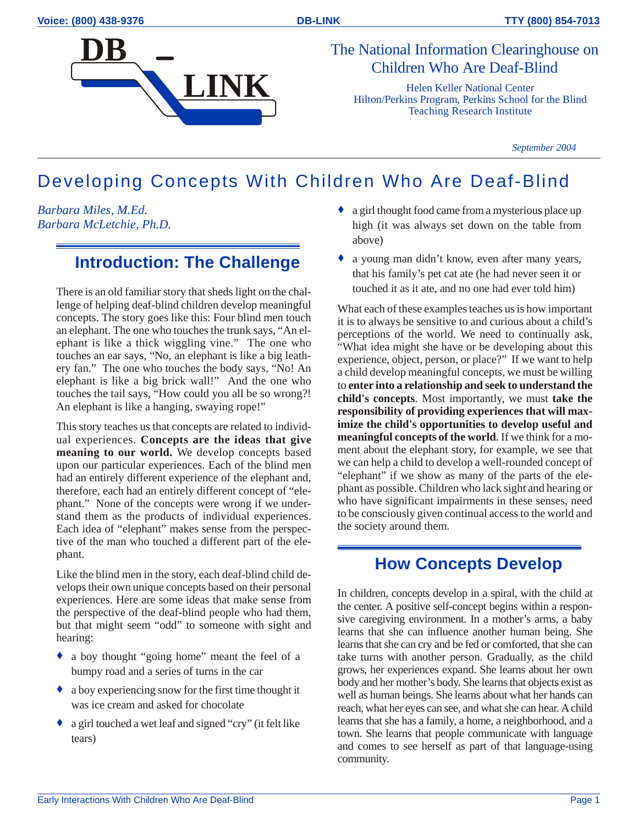

### The National Information Clearinghouse on Children Who Are Deaf-Blind

Helen Keller National Center Hilton/Perkins Program, Perkins School for the Blind Teaching Research Institute

 *September 2004*

# Developing Concepts With Children Who Are Deaf-Blind

*Barbara Miles, M.Ed. Barbara McLetchie, Ph.D.*

# **Introduction: The Challenge**

There is an old familiar story that sheds light on the challenge of helping deaf-blind children develop meaning ful concepts. The story goes like this: Four blind men touch an elephant. The one who touches the trunk says, "An elephant is like a thick wiggling vine." The one who touches an ear says, "No, an elephant is like a big leathery fan." The one who touches the body says, "No! An elephant is like a big brick wall!" And the one who touches the tail says, "How could you all be so wrong?! An elephant is like a hanging, swaying rope!"

This story teaches us that concepts are related to individual experiences. Concepts are the ideas that give meaning to our world. We develop concepts based upon our particular experiences. Each of the blind men had an entirely different experience of the elephant and, therefore, each had an entirely different concept of "elephant." None of the concepts were wrong if we understand them as the products of individual experiences. Each idea of "elephant" makes sense from the perspective of the man who touched a different part of the elephant.

Like the blind men in the story, each deaf-blind child develops their own unique concepts based on their personal experiences. Here are some ideas that make sense from the perspective of the deaf-blind people who had them, but that might seem "odd" to someone with sight and hearing:

- $\bullet$  a boy thought "going home" meant the feel of a bumpy road and a series of turns in the car
- $\bullet$  a boy experiencing snow for the first time thought it was ice cream and asked for chocolate
- a girl touched a wet leaf and signed "cry" (it felt like tears)
- $\bullet$  a girl thought food came from a mysterious place up high (it was always set down on the table from above)
- $\bullet$  a young man didn't know, even after many years, that his family's pet cat ate (he had never seen it or touched it as it ate, and no one had ever told him)

What each of these examples teaches us is how important it is to always be sensitive to and curious about a child's perceptions of the world. We need to continually ask, "What idea might she have or be developing about this experience, object, person, or place?" If we want to help a child develop meaning ful concepts, we must be willing to enter into a relationship and seek to understand the **child's concepts.** Most importantly, we must **take the** responsibility of providing experiences that will maximize the child's opportunities to develop useful and **meaningful concepts of the world**. If we think for a moment about the elephant story, for example, we see that we can help a child to develop a well-rounded concept of "elephant" if we show as many of the parts of the elephant as possible. Children who lack sight and hearing or who have significant impairments in these senses, need to be consciously given continual access to the world and the society around them.

## **How Concepts Develop**

In children, concepts develop in a spiral, with the child at the center. A positive self-concept begins within a responsive caregiving environment. In a mother's arms, a baby learns that she can influence another human being. She learns that she can cry and be fed or comforted, that she can take turns with another person. Gradually, as the child grows, her experiences expand. She learns about her own body and her mother's body. She learns that objects exist as well as human beings. She learns about what her hands can reach, what her eyes can see, and what she can hear. A child learns that she has a family, a home, a neighborhood, and a town. She learns that people communicate with language and comes to see herself as part of that language-using community.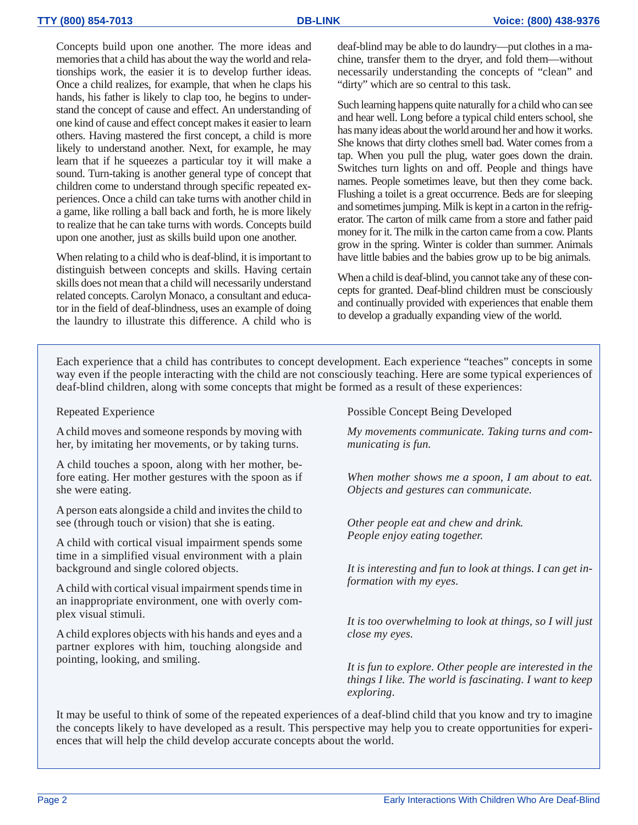Concepts build upon one another. The more ideas and memories that a child has about the way the world and relation ships work, the easier it is to develop further ideas. Once a child realizes, for example, that when he claps his hands, his father is likely to clap too, he begins to understand the concept of cause and effect. An understanding of one kind of cause and effect concept makes it easier to learn others. Having mastered the first concept, a child is more likely to understand another. Next, for example, he may learn that if he squeezes a particular toy it will make a sound. Turn-taking is another general type of concept that children come to understand through specific repeated experiences. Once a child can take turns with another child in a game, like rolling a ball back and forth, he is more likely to realize that he can take turns with words. Concepts build upon one another, just as skills build upon one another.

When relating to a child who is deaf-blind, it is important to distinguish between concepts and skills. Having certain skills does not mean that a child will necessarily understand related concepts. Carolyn Monaco, a consultant and educator in the field of deaf-blindness, uses an example of doing the laundry to illustrate this difference. A child who is

deaf-blind may be able to do laundry—put clothes in a machine, transfer them to the dryer, and fold them—without necessarily understanding the concepts of "clean" and "dirty" which are so central to this task.

Such learning happens quite naturally for a child who can see and hear well. Long before a typical child enters school, she has many ideas about the world around her and how it works. She knows that dirty clothes smell bad. Water comes from a tap. When you pull the plug, water goes down the drain. Switches turn lights on and off. People and things have names. People sometimes leave, but then they come back. Flushing a toilet is a great occurrence. Beds are for sleeping and sometimes jumping. Milk is kept in a carton in the refrigerator. The carton of milk came from a store and father paid money for it. The milk in the carton came from a cow. Plants grow in the spring. Winter is colder than summer. Animals have little babies and the babies grow up to be big animals.

When a child is deaf-blind, you cannot take any of these concepts for granted. Deaf-blind children must be consciously and continually provided with experiences that enable them to develop a gradually expanding view of the world.

Each experience that a child has contributes to concept development. Each experience "teaches" concepts in some way even if the people interacting with the child are not consciously teaching. Here are some typical experiences of deaf-blind children, along with some concepts that might be formed as a result of these experiences:

#### Repeated Experience

A child moves and some one responds by moving with her, by imitating her movements, or by taking turns.

A child touches a spoon, along with her mother, be fore eating. Her mother gestures with the spoon as if she were eating.

A person eats alongside a child and invites the child to see (through touch or vision) that she is eating.

A child with cortical visual impairment spends some time in a simplified visual environment with a plain background and single colored objects.

A child with cortical visual impairment spends time in an inappropriate environment, one with overly complex vi sual stimuli.

A child explores objects with his hands and eyes and a partner explores with him, touching alongside and pointing, looking, and smiling.

Possible Concept Being Developed

*My movements communicate. Taking turns and communicating is fun.* 

*When mother shows me a spoon, I am about to eat. Objects and gestures can communicate.* 

*Other peo ple eat and chew and drink. People enjoy eating together.* 

*It is in teresting and fun to look at things. I can get in for ma tion with my eyes*.

*It is too over whelm ing to look at things, so I will just close my eyes.*

It is fun to explore. Other people are interested in the *things I like. The world is fascinating. I want to keep ex plor ing*.

It may be useful to think of some of the repeated experiences of a deaf-blind child that you know and try to imagine the concepts likely to have developed as a result. This perspective may help you to create opportunities for experiences that will help the child develop accurate concepts about the world.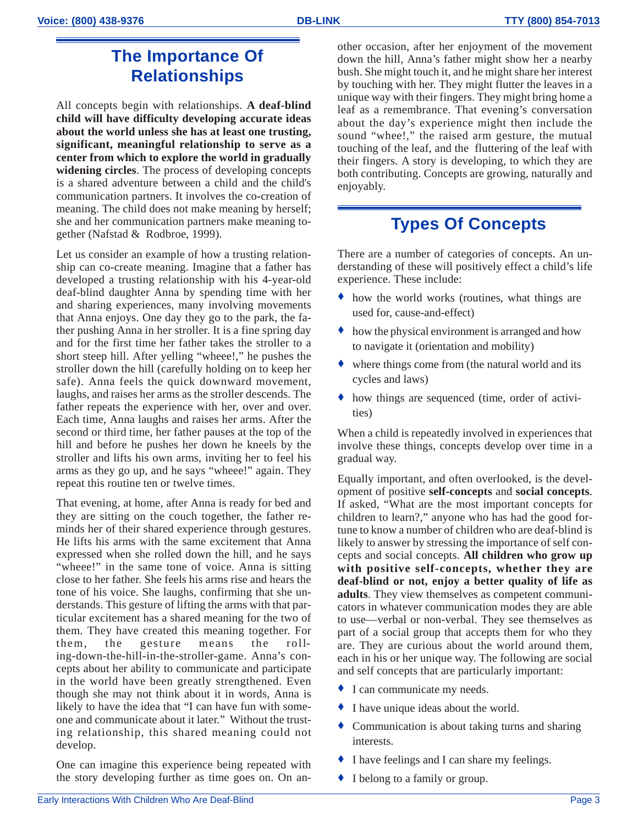### **The Importance Of Relationships**

All concepts begin with relationships. A deaf-blind child will have difficulty developing accurate ideas about the world unless she has at least one trusting, significant, meaningful relationship to serve as a center from which to explore the world in gradually widening circles. The process of developing concepts is a shared adventure between a child and the child's communication partners. It involves the co-creation of meaning. The child does not make meaning by herself; she and her communication partners make meaning together (Nafstad & Rodbroe, 1999).

Let us consider an example of how a trusting relationship can co-create meaning. Imagine that a father has developed a trusting relationship with his 4-year-old deaf-blind daughter Anna by spending time with her and sharing experiences, many involving movements that Anna enjoys. One day they go to the park, the father pushing Anna in her stroller. It is a fine spring day and for the first time her father takes the stroller to a short steep hill. After yelling "wheee!," he pushes the stroller down the hill (carefully holding on to keep her safe). Anna feels the quick downward movement, laughs, and raises her arms as the stroller descends. The father repeats the experience with her, over and over. Each time, Anna laughs and raises her arms. After the second or third time, her father pauses at the top of the hill and before he pushes her down he kneels by the stroller and lifts his own arms, inviting her to feel his arms as they go up, and he says "wheee!" again. They repeat this routine ten or twelve times.

That evening, at home, after Anna is ready for bed and they are sitting on the couch together, the father reminds her of their shared experience through gestures. He lifts his arms with the same excitement that Anna ex pressed when she rolled down the hill, and he says "wheee!" in the same tone of voice. Anna is sitting close to her father. She feels his arms rise and hears the tone of his voice. She laughs, confirming that she under stands. This gesture of lifting the arms with that particular excitement has a shared meaning for the two of them. They have created this meaning together. For them, the gesture means the rolling-down-the-hill-in-the-stroller-game. Anna's concepts about her ability to communicate and participate in the world have been greatly strengthened. Even though she may not think about it in words, Anna is likely to have the idea that "I can have fun with someone and communicate about it later." Without the trusting relationship, this shared meaning could not de velop.

One can imagine this experience being repeated with the story developing further as time goes on. On another occasion, after her enjoyment of the movement down the hill, Anna's father might show her a nearby bush. She might touch it, and he might share her interest by touching with her. They might flutter the leaves in a unique way with their fingers. They might bring home a leaf as a remembrance. That evening's conversation about the day's experience might then include the sound "whee!," the raised arm gesture, the mutual touching of the leaf, and the fluttering of the leaf with their fingers. A story is developing, to which they are both contributing. Concepts are growing, naturally and en joy ably.

# **Types Of Concepts**

There are a number of categories of concepts. An under standing of these will positively effect a child's life experience. These include:

- $\bullet$  how the world works (routines, what things are used for, cause-and-effect)
- $\bullet$  how the physical environment is arranged and how to navigate it (orientation and mobility)
- $\bullet$  where things come from (the natural world and its cycles and laws)
- $\bullet$  how things are sequenced (time, order of activities)

When a child is repeatedly involved in experiences that involve these things, concepts develop over time in a gradual way.

Equally important, and often overlooked, is the development of positive **self-concepts** and **social concepts**. If asked, "What are the most important concepts for children to learn?," anyone who has had the good fortune to know a number of children who are deaf-blind is likely to answer by stressing the importance of self concepts and social concepts. All children who grow up with positive self-concepts, whether they are deaf-blind or not, enjoy a better quality of life as **adults**. They view themselves as competent communicators in whatever communication modes they are able to use—verbal or non-verbal. They see themselves as part of a social group that accepts them for who they are. They are curious about the world around them, each in his or her unique way. The following are social and self concepts that are particularly important:

- $\bullet$  I can communicate my needs.
- $\bullet$  I have unique ideas about the world.
- $\bullet$  Communication is about taking turns and sharing interests.
- I have feelings and I can share my feelings.
- $\bullet$  I belong to a family or group.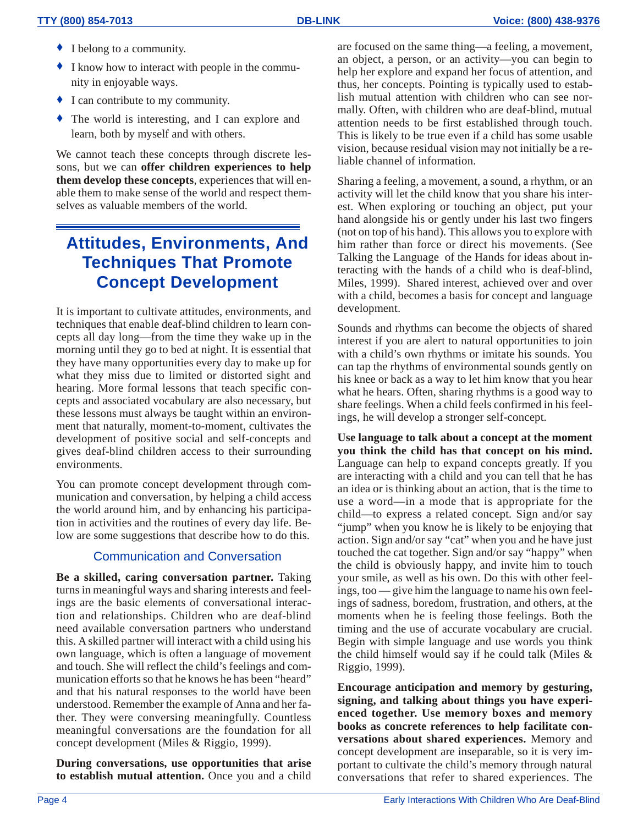- $\bullet$  I belong to a community.
- $\bullet$  I know how to interact with people in the community in enjoyable ways.
- $\bullet$  I can contribute to my community.
- $\bullet$  The world is interesting, and I can explore and learn, both by myself and with others.

We cannot teach these concepts through discrete lessons, but we can **offer children experiences to help them develop these concepts**, experiences that will enable them to make sense of the world and respect themselves as valuable members of the world.

# **Attitudes, Environments, And Techniques That Promote Concept Development**

It is important to cultivate attitudes, environments, and techniques that enable deaf-blind children to learn concepts all day long—from the time they wake up in the morning until they go to bed at night. It is essential that they have many opportunities every day to make up for what they miss due to limited or distorted sight and hearing. More formal lessons that teach specific concepts and associated vocabulary are also necessary, but these lessons must always be taught within an environment that naturally, moment-to-moment, cultivates the development of positive social and self-concepts and gives deaf-blind children access to their surrounding en vironments.

You can promote concept development through communication and conversation, by helping a child access the world around him, and by enhancing his participation in activities and the routines of every day life. Below are some suggestions that describe how to do this.

#### Communication and Conversation

Be a skilled, caring conversation partner. Taking turns in meaning ful ways and sharing interests and feelings are the basic elements of conversational interaction and relationships. Children who are deaf-blind need available conversation partners who understand this. A skilled partner will interact with a child using his own language, which is often a language of movement and touch. She will reflect the child's feelings and communication efforts so that he knows he has been "heard" and that his natural responses to the world have been understood. Remember the example of Anna and her father. They were conversing meaningfully. Countless meaning ful conversations are the foundation for all concept development (Miles & Riggio, 1999).

**During conversations, use opportunities that arise** to establish mutual attention. Once you and a child are focused on the same thing—a feeling, a movement, an object, a person, or an activity—you can begin to help her explore and expand her focus of attention, and thus, her concepts. Pointing is typically used to establish mutual attention with children who can see normally. Often, with children who are deaf-blind, mutual attention needs to be first established through touch. This is likely to be true even if a child has some usable vision, because residual vision may not initially be a reliable channel of information.

Sharing a feeling, a movement, a sound, a rhythm, or an activity will let the child know that you share his interest. When exploring or touching an object, put your hand alongside his or gently under his last two fingers (not on top of his hand). This allows you to explore with him rather than force or direct his movements. (See Talking the Language of the Hands for ideas about interacting with the hands of a child who is deaf-blind, Miles, 1999). Shared interest, achieved over and over with a child, becomes a basis for concept and language development.

Sounds and rhythms can become the objects of shared interest if you are alert to natural opportunities to join with a child's own rhythms or imitate his sounds. You can tap the rhythms of environmental sounds gently on his knee or back as a way to let him know that you hear what he hears. Often, sharing rhythms is a good way to share feelings. When a child feels confirmed in his feelings, he will develop a stronger self-concept.

Use language to talk about a concept at the moment you think the child has that concept on his mind. Language can help to expand concepts greatly. If you are interacting with a child and you can tell that he has an idea or is thinking about an action, that is the time to use a word—in a mode that is appropriate for the child—to express a related concept. Sign and/or say "jump" when you know he is likely to be enjoying that action. Sign and/or say "cat" when you and he have just touched the cat together. Sign and/or say "happy" when the child is obviously happy, and invite him to touch your smile, as well as his own. Do this with other feel ings, too — give him the language to name his own feelings of sadness, boredom, frustration, and others, at the moments when he is feeling those feelings. Both the timing and the use of accurate vocabulary are crucial. Begin with simple language and use words you think the child himself would say if he could talk (Miles & Riggio, 1999).

**Encourage anticipation and memory by gesturing,** signing, and talking about things you have experienced together. Use memory boxes and memory books as concrete references to help facilitate con**versations about shared experiences.** Memory and concept development are inseparable, so it is very important to cultivate the child's memory through natural conversations that refer to shared experiences. The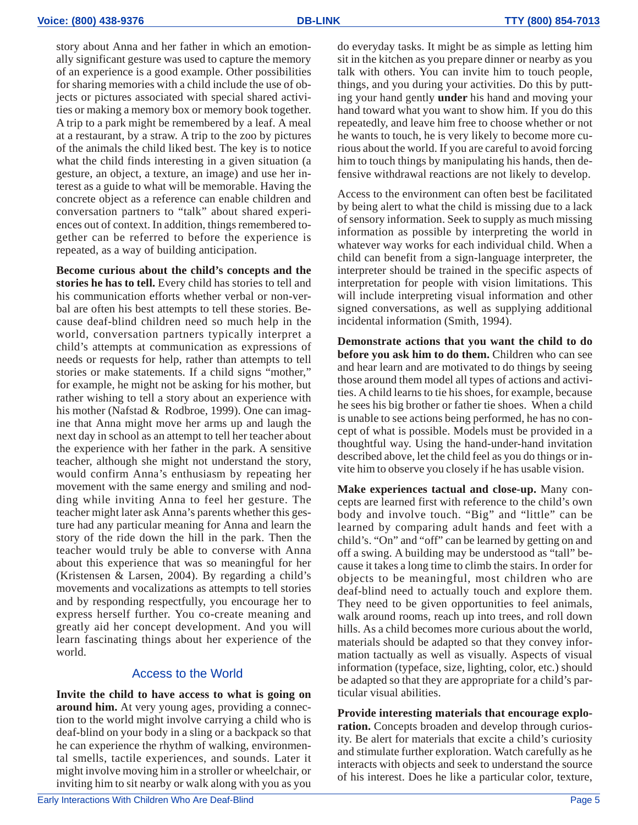story about Anna and her father in which an emotionally significant gesture was used to capture the memory of an experience is a good example. Other possibilities for sharing memories with a child include the use of objects or pictures associated with special shared activities or making a memory box or memory book together. A trip to a park might be remembered by a leaf. A meal at a restaurant, by a straw. A trip to the zoo by pictures of the animals the child liked best. The key is to notice what the child finds interesting in a given situation (a gesture, an object, a texture, an image) and use her interest as a guide to what will be memorable. Having the concrete object as a reference can enable children and conversation partners to "talk" about shared experiences out of context. In addition, things remembered together can be referred to before the experience is repeated, as a way of building anticipation.

Become curious about the child's concepts and the stories he has to tell. Every child has stories to tell and his communication efforts whether verbal or non-verbal are often his best attempts to tell these stories. Because deaf-blind children need so much help in the world, conversation partners typically interpret a child's attempts at communication as expressions of needs or requests for help, rather than attempts to tell stories or make statements. If a child signs "mother," for example, he might not be asking for his mother, but rather wishing to tell a story about an experience with his mother (Nafstad & Rodbroe, 1999). One can imagine that Anna might move her arms up and laugh the next day in school as an attempt to tell her teacher about the experience with her father in the park. A sensitive teacher, although she might not understand the story, would confirm Anna's enthusiasm by repeating her movement with the same energy and smiling and nodding while inviting Anna to feel her gesture. The teacher might later ask Anna's parents whether this gesture had any particular meaning for Anna and learn the story of the ride down the hill in the park. Then the teacher would truly be able to converse with Anna about this experience that was so meaningful for her (Kristensen & Larsen, 2004). By regarding a child's movements and vocalizations as attempts to tell stories and by responding respectfully, you encourage her to express herself further. You co-create meaning and greatly aid her concept development. And you will learn fascinating things about her experience of the world.

#### Access to the World

**Invite the child to have access to what is going on around him.** At very young ages, providing a connection to the world might involve carrying a child who is deaf-blind on your body in a sling or a backpack so that he can experience the rhythm of walking, environmental smells, tactile experiences, and sounds. Later it might involve moving him in a stroller or wheel chair, or inviting him to sit nearby or walk along with you as you

do every day tasks. It might be as simple as letting him sit in the kitchen as you prepare dinner or nearby as you talk with others. You can invite him to touch people, things, and you during your activities. Do this by putting your hand gently **under** his hand and moving your hand toward what you want to show him. If you do this repeatedly, and leave him free to choose whether or not he wants to touch, he is very likely to become more curious about the world. If you are careful to avoid forcing him to touch things by manipulating his hands, then defensive withdrawal reactions are not likely to develop.

Access to the environment can often best be facilitated by be ing alert to what the child is missing due to a lack of sensory information. Seek to supply as much missing information as possible by interpreting the world in whatever way works for each individual child. When a child can benefit from a sign-language interpreter, the interpreter should be trained in the specific aspects of interpretation for people with vision limitations. This will include interpreting visual information and other signed conversations, as well as supplying additional incidental information (Smith, 1994).

**Demon strate actions that you want the child to do before you ask him to do them.** Children who can see and hear learn and are motivated to do things by seeing those around them model all types of actions and activities. A child learns to tie his shoes, for example, because he sees his big brother or father tie shoes. When a child is unable to see actions being performed, he has no concept of what is possible. Models must be provided in a thought ful way. Using the hand-under-hand invitation de scribed above, let the child feel as you do things or in vite him to observe you closely if he has usable vision.

**Make experiences tactual and close-up.** Many concepts are learned first with reference to the child's own body and involve touch. "Big" and "little" can be learned by comparing adult hands and feet with a child's. "On" and "off" can be learned by getting on and off a swing. A building may be understood as "tall" because it takes a long time to climb the stairs. In order for objects to be meaningful, most children who are deaf-blind need to actually touch and explore them. They need to be given opportunities to feel animals, walk around rooms, reach up into trees, and roll down hills. As a child becomes more curious about the world, materials should be adapted so that they convey information tactually as well as visually. Aspects of visual information (type face, size, lighting, color, etc.) should be adapted so that they are appropriate for a child's particular visual abilities.

**Pro vide in ter est ing ma te ri als that en cour age ex plo ration.** Concepts broaden and develop through curiosity. Be alert for materials that excite a child's curiosity and stimulate further exploration. Watch carefully as he interacts with objects and seek to understand the source of his interest. Does he like a particular color, texture,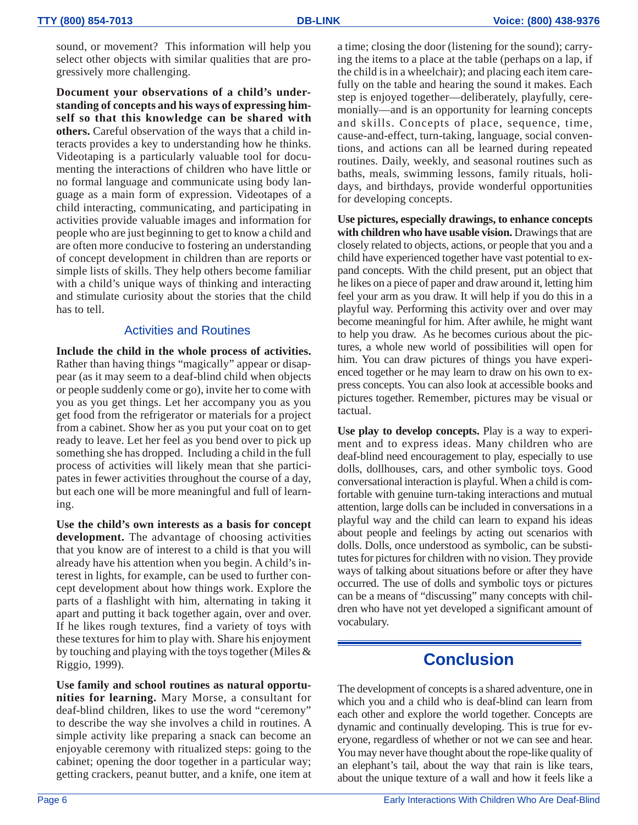sound, or movement? This information will help you select other objects with similar qualities that are progressively more challenging.

**Document your observations of a child's under**standing of concepts and his ways of expressing himself so that this knowledge can be shared with **others.** Careful observation of the ways that a child interacts provides a key to understanding how he thinks. Videotaping is a particularly valuable tool for documenting the interactions of children who have little or no formal language and communicate using body language as a main form of expression. Videotapes of a child interacting, communicating, and participating in activities provide valuable images and information for people who are just beginning to get to know a child and are often more conducive to fostering an understanding of concept development in children than are reports or simple lists of skills. They help others become familiar with a child's unique ways of thinking and interacting and stimulate curiosity about the stories that the child has to tell.

#### Activities and Routines

Include the child in the whole process of activities. Rather than having things "magically" appear or disappear (as it may seem to a deaf-blind child when objects or people suddenly come or go), invite her to come with you as you get things. Let her accompany you as you get food from the refrigerator or materials for a project from a cabinet. Show her as you put your coat on to get ready to leave. Let her feel as you bend over to pick up something she has dropped. Including a child in the full process of activities will likely mean that she participates in fewer activities throughout the course of a day, but each one will be more meaningful and full of learning.

Use the child's own interests as a basis for concept development. The advantage of choosing activities that you know are of interest to a child is that you will al ready have his attention when you begin. A child's interest in lights, for example, can be used to further concept development about how things work. Explore the parts of a flash light with him, alternating in taking it apart and putting it back together again, over and over. If he likes rough textures, find a variety of toys with these textures for him to play with. Share his enjoyment by touching and playing with the toys together (Miles  $\&$ Riggio, 1999).

Use family and school routines as natural opportunities for learning. Mary Morse, a consultant for deaf-blind children, likes to use the word "ceremony" to describe the way she involves a child in routines. A simple activity like preparing a snack can become an en joy able ceremony with ritualized steps: going to the cabinet; opening the door together in a particular way; getting crackers, peanut butter, and a knife, one item at a time; closing the door (listening for the sound); carrying the items to a place at the table (perhaps on a lap, if the child is in a wheel chair); and placing each item carefully on the table and hearing the sound it makes. Each step is enjoyed together—deliberately, playfully, ceremonially—and is an opportunity for learning concepts and skills. Concepts of place, sequence, time, cause-and-effect, turn-taking, language, social conventions, and actions can all be learned during repeated routines. Daily, weekly, and seasonal routines such as baths, meals, swimming lessons, family rituals, holidays, and birth days, provide wonder ful opportunities for developing concepts.

Use pictures, especially drawings, to enhance concepts with children who have usable vision. Drawings that are closely related to objects, actions, or people that you and a child have experienced together have vast potential to expand concepts. With the child present, put an object that he likes on a piece of paper and draw around it, letting him feel your arm as you draw. It will help if you do this in a playful way. Performing this activity over and over may become meaning ful for him. After awhile, he might want to help you draw. As he becomes curious about the pictures, a whole new world of possibilities will open for him. You can draw pictures of things you have experienced together or he may learn to draw on his own to express concepts. You can also look at accessible books and pictures together. Remember, pictures may be visual or tactual.

**Use play to develop concepts.** Play is a way to experiment and to express ideas. Many children who are deaf-blind need encouragement to play, especially to use dolls, dollhouses, cars, and other symbolic toys. Good conversational interaction is playful. When a child is comfortable with genuine turn-taking interactions and mutual attention, large dolls can be included in conversations in a play ful way and the child can learn to expand his ideas about people and feelings by acting out scenarios with dolls. Dolls, once understood as symbolic, can be substitutes for pictures for children with no vision. They provide ways of talking about situations before or after they have occurred. The use of dolls and symbolic toys or pictures can be a means of "discussing" many concepts with children who have not yet developed a significant amount of vocabulary.

## **Conclusion**

The development of concepts is a shared adventure, one in which you and a child who is deaf-blind can learn from each other and explore the world together. Concepts are dynamic and continually developing. This is true for everyone, regardless of whether or not we can see and hear. You may never have thought about the rope-like quality of an elephant's tail, about the way that rain is like tears, about the unique texture of a wall and how it feels like a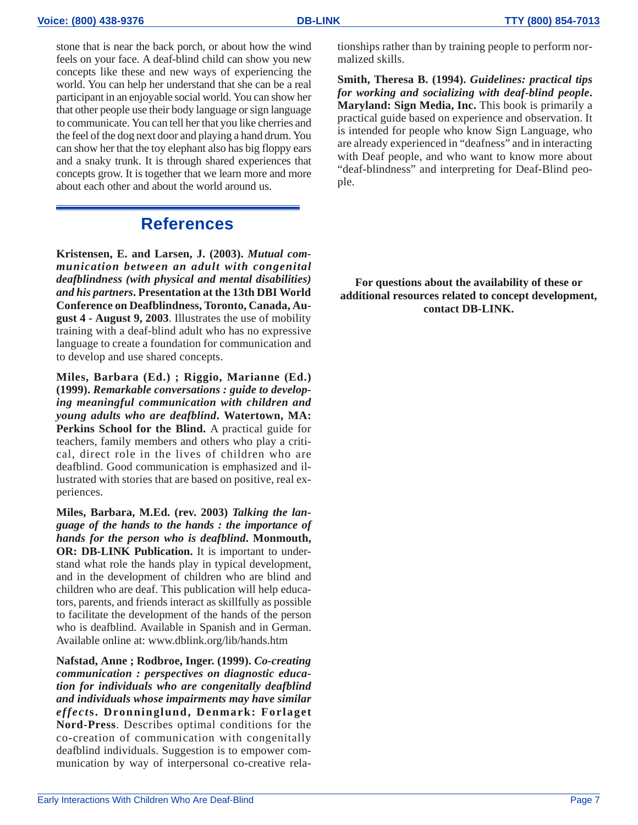stone that is near the back porch, or about how the wind feels on your face. A deaf-blind child can show you new concepts like these and new ways of experiencing the world. You can help her understand that she can be a real participant in an enjoyable social world. You can show her that other people use their body language or sign language to communicate. You can tell her that you like cherries and the feel of the dog next door and playing a hand drum. You can show her that the toy elephant also has big floppy ears and a snaky trunk. It is through shared experiences that concepts grow. It is together that we learn more and more about each other and about the world around us.

### **References**

Kristensen, E. and Larsen, J. (2003). *Mutual commu ni ca tion be tween an adult with con gen i tal deafblindness (with physical and mental disabilities) and his part ners***. Pre senta tion at the 13th DBI World** Conference on Deafblindness, Toronto, Canada, Au**gust 4 - August 9, 2003.** Illustrates the use of mobility training with a deaf-blind adult who has no expressive language to create a foundation for communication and to develop and use shared concepts.

**Miles, Barbara (Ed.) ; Riggio, Marianne (Ed.) (1999).** *Re mark able con ver sa tions : guide to de vel op ing mean ing ful com mu ni ca tion with chil dren and young adults who are deafblind***. Watertown, MA:** Perkins School for the Blind. A practical guide for teachers, family members and others who play a critical, direct role in the lives of children who are deafblind. Good communication is emphasized and illustrated with stories that are based on positive, real experiences.

**Miles, Barbara, M.Ed.** (rev. 2003) *Talking the language of the hands to the hands : the importance of hands for the per son who is deafblind***. Monmouth, OR: DB-LINK Publication.** It is important to understand what role the hands play in typical development, and in the development of children who are blind and children who are deaf. This publication will help educators, parents, and friends interact as skill fully as possible to facilitate the development of the hands of the person who is deafblind. Available in Spanish and in German. Avail able on line at: www.dblink.org/lib/hands.htm

Nafstad, Anne; Rodbroe, Inger. (1999). *Co-creating communication : perspectives on diagnostic education for in di vid u als who are con gen i tally deafblind and in di vid u als whose im pair ments may have sim i lar ef fect***s. Dronninglund, Den mark: Forlaget Nord-Press.** Describes optimal conditions for the co-creation of communication with congenitally deafblind individuals. Suggestion is to empower communication by way of interpersonal co-creative relation ships rather than by training people to perform normalized skills.

Smith, Theresa B. (1994). *Guidelines: practical tips for working and socializing with deaf-blind people.* **Maryland: Sign Media, Inc.** This book is primarily a practical guide based on experience and observation. It is intended for people who know Sign Language, who are already experienced in "deafness" and in interacting with Deaf people, and who want to know more about "deaf-blindness" and interpreting for Deaf-Blind people.

#### **For questions about the availability of these or additional resources related to concept development, contact DB-LINK.**